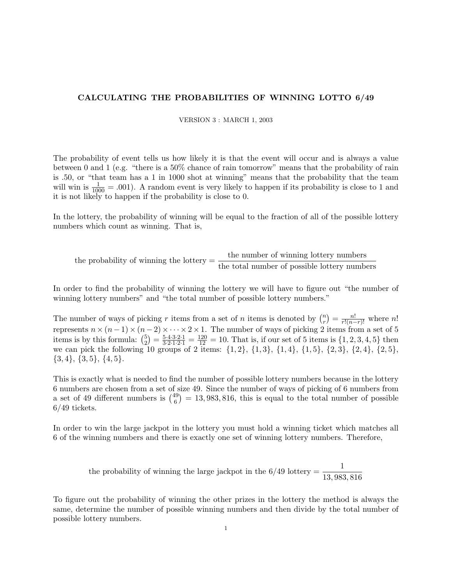## CALCULATING THE PROBABILITIES OF WINNING LOTTO 6/49

VERSION 3 : MARCH 1, 2003

The probability of event tells us how likely it is that the event will occur and is always a value between 0 and 1 (e.g. "there is a 50% chance of rain tomorrow" means that the probability of rain is .50, or "that team has a 1 in 1000 shot at winning" means that the probability that the team will win is  $\frac{1}{1000} = .001$ . A random event is very likely to happen if its probability is close to 1 and it is not likely to happen if the probability is close to 0.

In the lottery, the probability of winning will be equal to the fraction of all of the possible lottery numbers which count as winning. That is,

the probability of winning the lottery  $=$   $\frac{\text{the number of winning lottery numbers}}{\text{the total number of possible lottery numbers}}$ 

In order to find the probability of winning the lottery we will have to figure out "the number of winning lottery numbers" and "the total number of possible lottery numbers."

The number of ways of picking r items from a set of n items is denoted by  $\binom{n}{r}$  $r \choose r = \frac{n!}{r!(n-r)!}$  where n! represents  $n \times (n-1) \times (n-2) \times \cdots \times 2 \times 1$ . The number of ways of picking 2 items from a set of 5 items is by this formula:  $\binom{5}{2}$  $\binom{5}{2} = \frac{5 \cdot 4 \cdot 3 \cdot 2 \cdot 1}{3 \cdot 2 \cdot 1 \cdot 2 \cdot 1} = \frac{120}{12} = 10$ . That is, if our set of 5 items is  $\{1, 2, 3, 4, 5\}$  then we can pick the following 10 groups of 2 items:  $\{1, 2\}$ ,  $\{1, 3\}$ ,  $\{1, 4\}$ ,  $\{1, 5\}$ ,  $\{2, 3\}$ ,  $\{2, 4\}$ ,  $\{2, 5\}$ ,  $\{3,4\}, \{3,5\}, \{4,5\}.$ 

This is exactly what is needed to find the number of possible lottery numbers because in the lottery 6 numbers are chosen from a set of size 49. Since the number of ways of picking of 6 numbers from a set of 49 different numbers is  $\binom{49}{6}$  $\binom{19}{6} = 13,983,816$ , this is equal to the total number of possible 6/49 tickets.

In order to win the large jackpot in the lottery you must hold a winning ticket which matches all 6 of the winning numbers and there is exactly one set of winning lottery numbers. Therefore,

the probability of winning the large jackpot in the 6/49 lottery = 
$$
\frac{1}{13,983,816}
$$

To figure out the probability of winning the other prizes in the lottery the method is always the same, determine the number of possible winning numbers and then divide by the total number of possible lottery numbers.